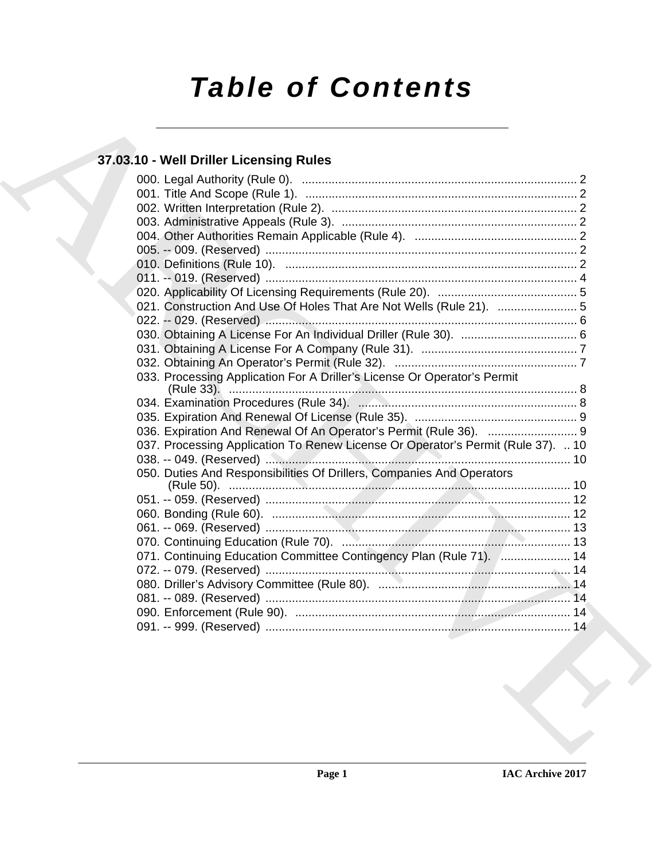# *Table of Contents*

# **37.03.10 - Well Driller Licensing Rules**

| 021. Construction And Use Of Holes That Are Not Wells (Rule 21).  5              |
|----------------------------------------------------------------------------------|
|                                                                                  |
|                                                                                  |
|                                                                                  |
| 033. Processing Application For A Driller's License Or Operator's Permit         |
|                                                                                  |
|                                                                                  |
|                                                                                  |
| 037. Processing Application To Renew License Or Operator's Permit (Rule 37).  10 |
| 050. Duties And Responsibilities Of Drillers, Companies And Operators            |
|                                                                                  |
|                                                                                  |
|                                                                                  |
| 071. Continuing Education Committee Contingency Plan (Rule 71).  14              |
|                                                                                  |
|                                                                                  |
|                                                                                  |
|                                                                                  |
|                                                                                  |
|                                                                                  |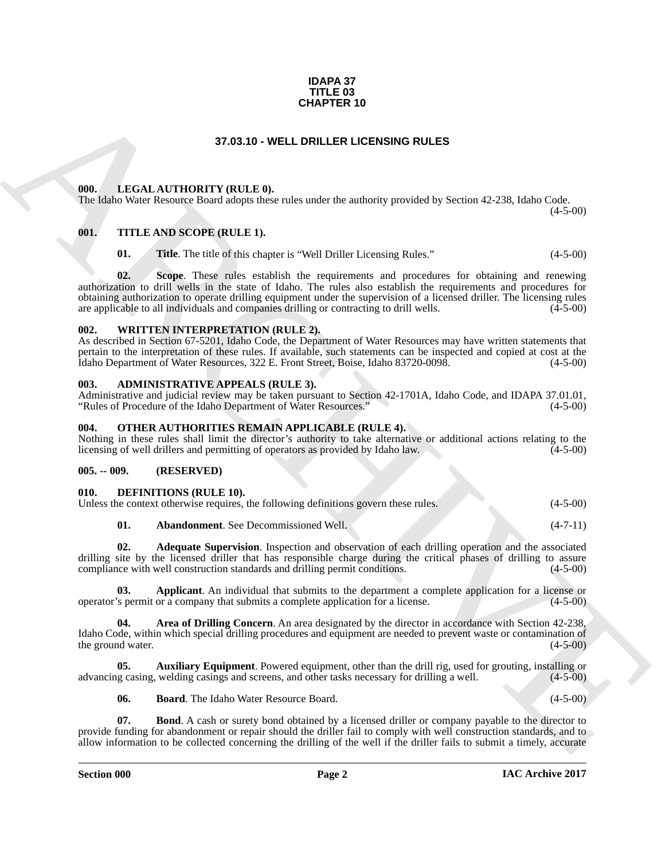#### **IDAPA 37 TITLE 03 CHAPTER 10**

# **37.03.10 - WELL DRILLER LICENSING RULES**

# <span id="page-1-1"></span><span id="page-1-0"></span>**000. LEGAL AUTHORITY (RULE 0).**

The Idaho Water Resource Board adopts these rules under the authority provided by Section 42-238, Idaho Code.

# <span id="page-1-2"></span>**001. TITLE AND SCOPE (RULE 1).**

**01.** Title. The title of this chapter is "Well Driller Licensing Rules." (4-5-00)

**CHAPTER 10**<br> **CHARCHIVE (MILE 6).**<br> **CHARCHIVE (MILE 6)**<br> **CHARCHIVE (MILE 6)**<br> **CHARCHIVE (MILE 6)**<br> **CHARCHIVE (MILE 6)**<br> **CHARCHIVE (MILE 6)**<br> **CHARCHIVE (MILE 6)**<br> **CHARCHIVE (MILE 6)**<br> **CHARCHIVE (MILE 6)**<br> **CHARCHI 02. Scope**. These rules establish the requirements and procedures for obtaining and renewing authorization to drill wells in the state of Idaho. The rules also establish the requirements and procedures for obtaining authorization to operate drilling equipment under the supervision of a licensed driller. The licensing rules are applicable to all individuals and companies drilling or contracting to drill wells. (4-5-00) are applicable to all individuals and companies drilling or contracting to drill wells.

#### <span id="page-1-3"></span>**002. WRITTEN INTERPRETATION (RULE 2).**

As described in Section 67-5201, Idaho Code, the Department of Water Resources may have written statements that pertain to the interpretation of these rules. If available, such statements can be inspected and copied at cost at the Idaho Department of Water Resources, 322 E. Front Street, Boise, Idaho 83720-0098. (4-5-00)

#### <span id="page-1-4"></span>**003. ADMINISTRATIVE APPEALS (RULE 3).**

Administrative and judicial review may be taken pursuant to Section 42-1701A, Idaho Code, and IDAPA 37.01.01,<br>
"Rules of Procedure of the Idaho Department of Water Resources." (4-5-00) "Rules of Procedure of the Idaho Department of Water Resources."

#### <span id="page-1-5"></span>**004. OTHER AUTHORITIES REMAIN APPLICABLE (RULE 4).**

Nothing in these rules shall limit the director's authority to take alternative or additional actions relating to the licensing of well drillers and permitting of operators as provided by Idaho law. (4-5-00)

# <span id="page-1-6"></span>**005. -- 009. (RESERVED)**

# <span id="page-1-8"></span><span id="page-1-7"></span>**010. DEFINITIONS (RULE 10).**

| Unless the context otherwise requires, the following definitions govern these rules. |  |  |  | $(4-5-00)$ |
|--------------------------------------------------------------------------------------|--|--|--|------------|
|--------------------------------------------------------------------------------------|--|--|--|------------|

<span id="page-1-11"></span><span id="page-1-10"></span><span id="page-1-9"></span>

| 01. |  | <b>Abandonment.</b> See Decommissioned Well. |  |  |  | $(4-7-11)$ |
|-----|--|----------------------------------------------|--|--|--|------------|
|-----|--|----------------------------------------------|--|--|--|------------|

**02. Adequate Supervision**. Inspection and observation of each drilling operation and the associated drilling site by the licensed driller that has responsible charge during the critical phases of drilling to assure compliance with well construction standards and drilling permit conditions. (4-5-00)

**Applicant**. An individual that submits to the department a complete application for a license or a company that submits a complete application for a license. (4-5-00) operator's permit or a company that submits a complete application for a license.

<span id="page-1-12"></span>**04. Area of Drilling Concern**. An area designated by the director in accordance with Section 42-238, Idaho Code, within which special drilling procedures and equipment are needed to prevent waste or contamination of the ground water. (4-5-00) the ground water.

**05. Auxiliary Equipment**. Powered equipment, other than the drill rig, used for grouting, installing or advancing casing, welding casings and screens, and other tasks necessary for drilling a well. (4-5-00)

<span id="page-1-15"></span><span id="page-1-14"></span><span id="page-1-13"></span>**06. Board**. The Idaho Water Resource Board. (4-5-00)

**07. Bond**. A cash or surety bond obtained by a licensed driller or company payable to the director to provide funding for abandonment or repair should the driller fail to comply with well construction standards, and to allow information to be collected concerning the drilling of the well if the driller fails to submit a timely, accurate

 $(4-5-00)$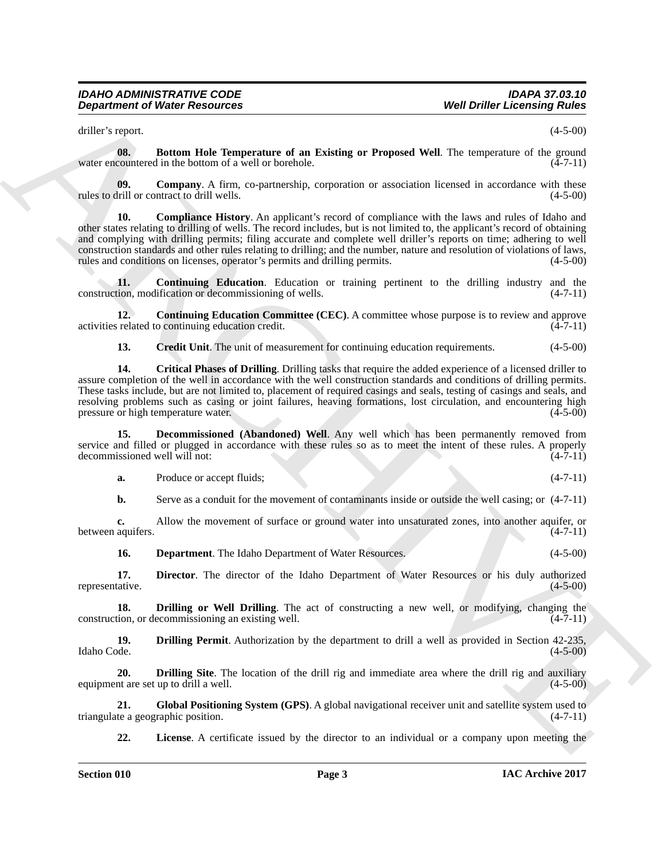<span id="page-2-0"></span>driller's report. (4-5-00)

**08.** Bottom Hole Temperature of an Existing or Proposed Well. The temperature of the ground water encountered in the bottom of a well or borehole.  $(4-7-11)$ 

<span id="page-2-2"></span><span id="page-2-1"></span>**09. Company**. A firm, co-partnership, corporation or association licensed in accordance with these drill or contract to drill wells. (4-5-00) rules to drill or contract to drill wells.

**Department of Weier Research et al.** The Theorem of an Evidence Constraint of the 10 minute of the 10 minute of the 10 minute of the 10 minute of the 10 minute of the 10 minute of the 10 minute of the 10 minute of the 10 **10. Compliance History**. An applicant's record of compliance with the laws and rules of Idaho and other states relating to drilling of wells. The record includes, but is not limited to, the applicant's record of obtaining and complying with drilling permits; filing accurate and complete well driller's reports on time; adhering to well construction standards and other rules relating to drilling; and the number, nature and resolution of violations of laws, rules and conditions on licenses, operator's permits and drilling permits. (4-5-00) rules and conditions on licenses, operator's permits and drilling permits.

<span id="page-2-3"></span>**11. Continuing Education**. Education or training pertinent to the drilling industry and the construction, modification or decommissioning of wells. (4-7-11)

**12. Continuing Education Committee (CEC)**. A committee whose purpose is to review and approve activities related to continuing education credit. (4-7-11)

<span id="page-2-6"></span><span id="page-2-5"></span><span id="page-2-4"></span>**13. Credit Unit**. The unit of measurement for continuing education requirements.  $(4-5-00)$ 

**14. Critical Phases of Drilling**. Drilling tasks that require the added experience of a licensed driller to assure completion of the well in accordance with the well construction standards and conditions of drilling permits. These tasks include, but are not limited to, placement of required casings and seals, testing of casings and seals, and resolving problems such as casing or joint failures, heaving formations, lost circulation, and encountering high pressure or high temperature water. (4-5-00) pressure or high temperature water.

**15. Decommissioned (Abandoned) Well**. Any well which has been permanently removed from service and filled or plugged in accordance with these rules so as to meet the intent of these rules. A properly decommissioned well will not: (4-7-11) decommissioned well will not:

<span id="page-2-7"></span>**a.** Produce or accept fluids; (4-7-11)

**b.** Serve as a conduit for the movement of contaminants inside or outside the well casing; or  $(4-7-11)$ 

**c.** Allow the movement of surface or ground water into unsaturated zones, into another aquifer, or aquifers.  $(4-7-11)$ between aquifers.

<span id="page-2-10"></span><span id="page-2-9"></span><span id="page-2-8"></span>**16. Department**. The Idaho Department of Water Resources. (4-5-00)

**17. Director**. The director of the Idaho Department of Water Resources or his duly authorized representative. (4-5-00)

**18. Drilling or Well Drilling**. The act of constructing a new well, or modifying, changing the tion, or decommissioning an existing well. (4-7-11) construction, or decommissioning an existing well.

<span id="page-2-11"></span>**19. 19. Drilling Permit**. Authorization by the department to drill a well as provided in Section 42-235, Idaho Code. (4-5-00) Idaho Code. (4-5-00)

<span id="page-2-12"></span>**20. Drilling Site**. The location of the drill rig and immediate area where the drill rig and auxiliary equipment are set up to drill a well. (4-5-00)

**21.** Global Positioning System (GPS). A global navigational receiver unit and satellite system used to te a geographic position. (4-7-11) triangulate a geographic position.

<span id="page-2-14"></span><span id="page-2-13"></span>**22.** License. A certificate issued by the director to an individual or a company upon meeting the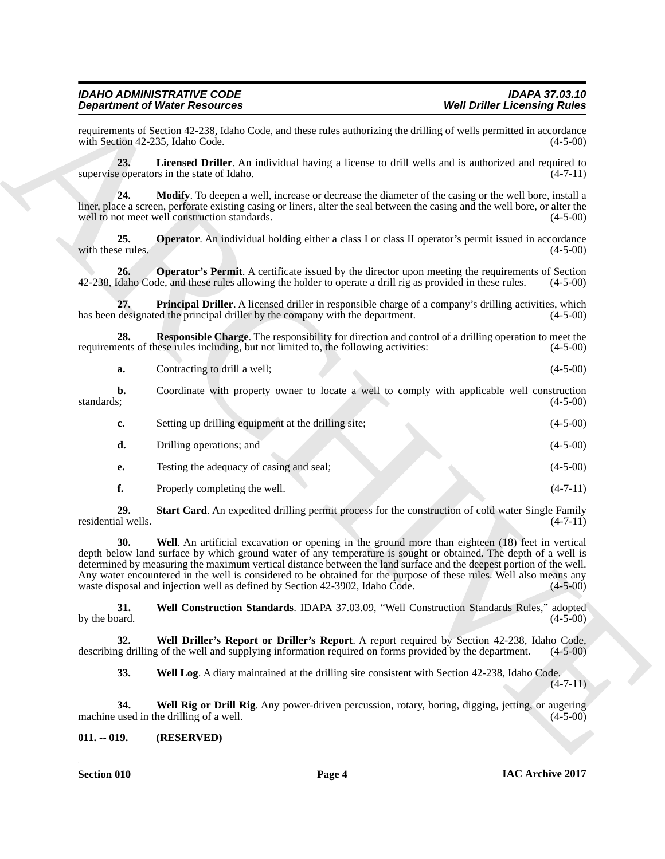<span id="page-3-8"></span><span id="page-3-7"></span><span id="page-3-6"></span><span id="page-3-5"></span><span id="page-3-4"></span><span id="page-3-3"></span>

| Contracting to drill a well; |  | $(4-5-00)$ |
|------------------------------|--|------------|
|                              |  |            |

<span id="page-3-2"></span><span id="page-3-1"></span>

|                           | <b>Department of Water Resources</b>                                                                                                                                                                                                                                                                                                                                                                                                                                                                                                             | <b>Well Driller Licensing Rules</b> |
|---------------------------|--------------------------------------------------------------------------------------------------------------------------------------------------------------------------------------------------------------------------------------------------------------------------------------------------------------------------------------------------------------------------------------------------------------------------------------------------------------------------------------------------------------------------------------------------|-------------------------------------|
|                           | requirements of Section 42-238, Idaho Code, and these rules authorizing the drilling of wells permitted in accordance<br>with Section 42-235, Idaho Code.                                                                                                                                                                                                                                                                                                                                                                                        | $(4-5-00)$                          |
| 23.                       | Licensed Driller. An individual having a license to drill wells and is authorized and required to<br>supervise operators in the state of Idaho.                                                                                                                                                                                                                                                                                                                                                                                                  | $(4-7-11)$                          |
| 24.                       | Modify. To deepen a well, increase or decrease the diameter of the casing or the well bore, install a<br>liner, place a screen, perforate existing casing or liners, alter the seal between the casing and the well bore, or alter the<br>well to not meet well construction standards.                                                                                                                                                                                                                                                          | $(4-5-00)$                          |
| 25.<br>with these rules.  | <b>Operator</b> . An individual holding either a class I or class II operator's permit issued in accordance                                                                                                                                                                                                                                                                                                                                                                                                                                      | $(4-5-00)$                          |
| 26.                       | <b>Operator's Permit.</b> A certificate issued by the director upon meeting the requirements of Section<br>42-238, Idaho Code, and these rules allowing the holder to operate a drill rig as provided in these rules.                                                                                                                                                                                                                                                                                                                            | $(4-5-00)$                          |
| 27.                       | Principal Driller. A licensed driller in responsible charge of a company's drilling activities, which<br>has been designated the principal driller by the company with the department.                                                                                                                                                                                                                                                                                                                                                           | $(4-5-00)$                          |
| 28.                       | <b>Responsible Charge.</b> The responsibility for direction and control of a drilling operation to meet the<br>requirements of these rules including, but not limited to, the following activities:                                                                                                                                                                                                                                                                                                                                              | $(4-5-00)$                          |
| a.                        | Contracting to drill a well;                                                                                                                                                                                                                                                                                                                                                                                                                                                                                                                     | $(4-5-00)$                          |
| b.<br>standards;          | Coordinate with property owner to locate a well to comply with applicable well construction                                                                                                                                                                                                                                                                                                                                                                                                                                                      | $(4-5-00)$                          |
| c.                        | Setting up drilling equipment at the drilling site;                                                                                                                                                                                                                                                                                                                                                                                                                                                                                              | $(4-5-00)$                          |
| d.                        | Drilling operations; and                                                                                                                                                                                                                                                                                                                                                                                                                                                                                                                         | $(4-5-00)$                          |
| е.                        | Testing the adequacy of casing and seal;                                                                                                                                                                                                                                                                                                                                                                                                                                                                                                         | $(4-5-00)$                          |
| f.                        | Properly completing the well.                                                                                                                                                                                                                                                                                                                                                                                                                                                                                                                    | $(4-7-11)$                          |
| 29.<br>residential wells. | Start Card. An expedited drilling permit process for the construction of cold water Single Family                                                                                                                                                                                                                                                                                                                                                                                                                                                | $(4-7-11)$                          |
| 30.                       | Well. An artificial excavation or opening in the ground more than eighteen (18) feet in vertical<br>depth below land surface by which ground water of any temperature is sought or obtained. The depth of a well is<br>determined by measuring the maximum vertical distance between the land surface and the deepest portion of the well.<br>Any water encountered in the well is considered to be obtained for the purpose of these rules. Well also means any<br>waste disposal and injection well as defined by Section 42-3902, Idaho Code. | $(4-5-00)$                          |
| 31.<br>by the board.      | Well Construction Standards. IDAPA 37.03.09, "Well Construction Standards Rules," adopted                                                                                                                                                                                                                                                                                                                                                                                                                                                        | $(4-5-00)$                          |
| 32.                       | Well Driller's Report or Driller's Report. A report required by Section 42-238, Idaho Code,<br>describing drilling of the well and supplying information required on forms provided by the department.                                                                                                                                                                                                                                                                                                                                           | $(4-5-00)$                          |
| 33.                       | Well Log. A diary maintained at the drilling site consistent with Section 42-238, Idaho Code.                                                                                                                                                                                                                                                                                                                                                                                                                                                    | $(4-7-11)$                          |
| 34.                       | Well Rig or Drill Rig. Any power-driven percussion, rotary, boring, digging, jetting, or augering<br>machine used in the drilling of a well.                                                                                                                                                                                                                                                                                                                                                                                                     | $(4-5-00)$                          |
|                           | (RESERVED)                                                                                                                                                                                                                                                                                                                                                                                                                                                                                                                                       |                                     |

# <span id="page-3-12"></span><span id="page-3-11"></span><span id="page-3-10"></span><span id="page-3-9"></span><span id="page-3-0"></span>**011. -- 019. (RESERVED)**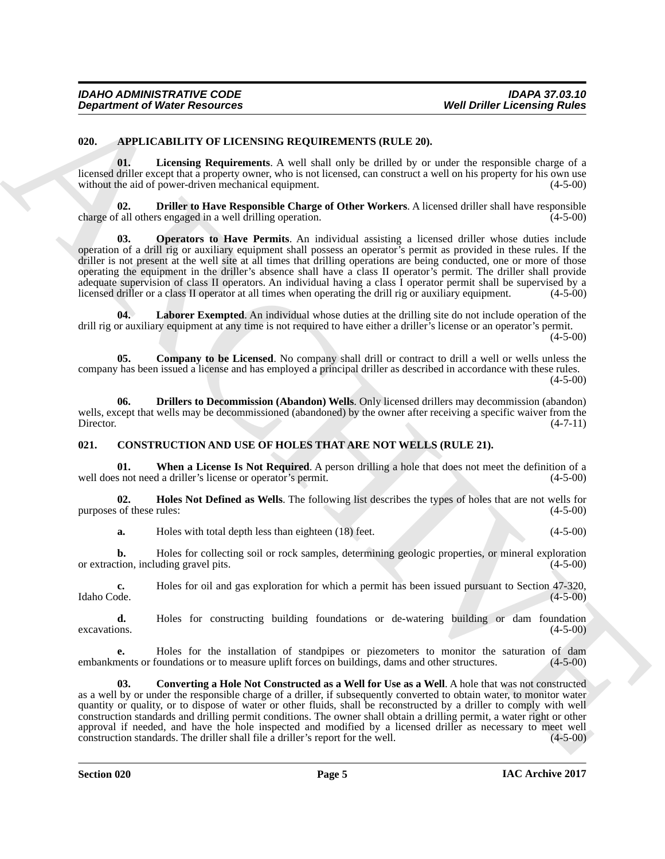# <span id="page-4-2"></span><span id="page-4-0"></span>**020. APPLICABILITY OF LICENSING REQUIREMENTS (RULE 20).**

<span id="page-4-7"></span>**01. Licensing Requirements**. A well shall only be drilled by or under the responsible charge of a licensed driller except that a property owner, who is not licensed, can construct a well on his property for his own use without the aid of power-driven mechanical equipment. (4-5-00) without the aid of power-driven mechanical equipment.

<span id="page-4-8"></span><span id="page-4-4"></span>**02. Driller to Have Responsible Charge of Other Workers**. A licensed driller shall have responsible charge of all others engaged in a well drilling operation. (4-5-00)

**Department of Nicker Research 2011** Well Level the Research 2011 Well Drille Encoring Rules<br>
2011 Lives in Encoring Controllers And the United States of the United States of the Second States of the Second States of the **03. Operators to Have Permits**. An individual assisting a licensed driller whose duties include operation of a drill rig or auxiliary equipment shall possess an operator's permit as provided in these rules. If the driller is not present at the well site at all times that drilling operations are being conducted, one or more of those operating the equipment in the driller's absence shall have a class II operator's permit. The driller shall provide adequate supervision of class II operators. An individual having a class I operator permit shall be supervised by a licensed driller or a class II operator at all times when operating the drill rig or auxiliary equipment. (4-5-00)

<span id="page-4-6"></span>**Laborer Exempted.** An individual whose duties at the drilling site do not include operation of the drill rig or auxiliary equipment at any time is not required to have either a driller's license or an operator's permit.  $(4-5-00)$ 

<span id="page-4-3"></span>**05. Company to be Licensed**. No company shall drill or contract to drill a well or wells unless the company has been issued a license and has employed a principal driller as described in accordance with these rules.  $(4-5-00)$ 

<span id="page-4-5"></span>**06. Drillers to Decommission (Abandon) Wells**. Only licensed drillers may decommission (abandon) wells, except that wells may be decommissioned (abandoned) by the owner after receiving a specific waiver from the Director. (4-7-11) Director. (4-7-11)

# <span id="page-4-9"></span><span id="page-4-1"></span>**021. CONSTRUCTION AND USE OF HOLES THAT ARE NOT WELLS (RULE 21).**

<span id="page-4-12"></span>**01.** When a License Is Not Required. A person drilling a hole that does not meet the definition of a s not need a driller's license or operator's permit. (4-5-00) well does not need a driller's license or operator's permit.

**02. Holes Not Defined as Wells**. The following list describes the types of holes that are not wells for of these rules:  $(4-5-00)$ purposes of these rules:

<span id="page-4-11"></span>**a.** Holes with total depth less than eighteen (18) feet. (4-5-00)

**b.** Holes for collecting soil or rock samples, determining geologic properties, or mineral exploration tion, including gravel pits. (4-5-00) or extraction, including gravel pits.

**c.** Holes for oil and gas exploration for which a permit has been issued pursuant to Section 47-320, Idaho Code. (4-5-00) Idaho Code. (4-5-00)

**d.** Holes for constructing building foundations or de-watering building or dam foundation excavations. (4-5-00)  $e$ xcavations.  $(4-5-00)$ 

**e.** Holes for the installation of standpipes or piezometers to monitor the saturation of dam ments or foundations or to measure uplift forces on buildings, dams and other structures. (4-5-00) embankments or foundations or to measure uplift forces on buildings, dams and other structures.

<span id="page-4-10"></span>**03. Converting a Hole Not Constructed as a Well for Use as a Well**. A hole that was not constructed as a well by or under the responsible charge of a driller, if subsequently converted to obtain water, to monitor water quantity or quality, or to dispose of water or other fluids, shall be reconstructed by a driller to comply with well construction standards and drilling permit conditions. The owner shall obtain a drilling permit, a water right or other approval if needed, and have the hole inspected and modified by a licensed driller as necessary to meet well construction standards. The driller shall file a driller's report for the well.  $(4-5-00)$ construction standards. The driller shall file a driller's report for the well.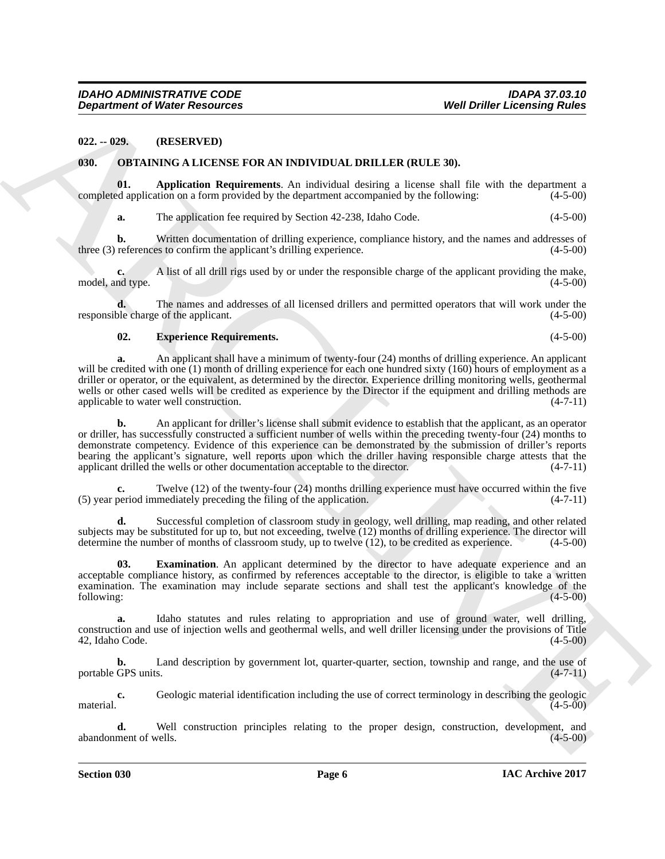# <span id="page-5-0"></span>**022. -- 029. (RESERVED)**

#### <span id="page-5-2"></span><span id="page-5-1"></span>**030. OBTAINING A LICENSE FOR AN INDIVIDUAL DRILLER (RULE 30).**

**01. Application Requirements**. An individual desiring a license shall file with the department a completed application on a form provided by the department accompanied by the following:

<span id="page-5-3"></span>**a.** The application fee required by Section 42-238, Idaho Code. (4-5-00)

**b.** Written documentation of drilling experience, compliance history, and the names and addresses of references to confirm the applicant's drilling experience. (4-5-00) three  $(3)$  references to confirm the applicant's drilling experience.

**c.** A list of all drill rigs used by or under the responsible charge of the applicant providing the make, model, and type. (4-5-00) (3-5-00)

**d.** The names and addresses of all licensed drillers and permitted operators that will work under the oble charge of the applicant. (4-5-00) responsible charge of the applicant.

# <span id="page-5-5"></span>**02. Experience Requirements.** (4-5-00)

**a.** An applicant shall have a minimum of twenty-four (24) months of drilling experience. An applicant will be credited with one (1) month of drilling experience for each one hundred sixty (160) hours of employment as a driller or operator, or the equivalent, as determined by the director. Experience drilling monitoring wells, geothermal wells or other cased wells will be credited as experience by the Director if the equipment and drilling methods are applicable to water well construction. (4-7-11) applicable to water well construction.

**Department of Nieser Research 19.**<br> **Vestigation (2012)** 2011 **CONSULTATION** (CLE 30).<br>
(2013) **CONSULTATION CONSULTATION** (CLE 30).<br>
(2014) **ARCHIVENG ALL DESSULTATION** CONSULTATION (CLE 30).<br>
(2014) **CONSULTATION** CONS **b.** An applicant for driller's license shall submit evidence to establish that the applicant, as an operator or driller, has successfully constructed a sufficient number of wells within the preceding twenty-four (24) months to demonstrate competency. Evidence of this experience can be demonstrated by the submission of driller's reports bearing the applicant's signature, well reports upon which the driller having responsible charge attests that the applicant drilled the wells or other documentation acceptable to the director. (4-7-11)

Twelve (12) of the twenty-four (24) months drilling experience must have occurred within the five mediately preceding the filing of the application. (4-7-11) (5) year period immediately preceding the filing of the application.

**d.** Successful completion of classroom study in geology, well drilling, map reading, and other related subjects may be substituted for up to, but not exceeding, twelve  $(12)$  months of drilling experience. The director will determine the number of months of classroom study, up to twelve  $(12)$ , to be credited as experience determine the number of months of classroom study, up to twelve  $(12)$ , to be credited as experience.

<span id="page-5-4"></span>**03. Examination**. An applicant determined by the director to have adequate experience and an acceptable compliance history, as confirmed by references acceptable to the director, is eligible to take a written examination. The examination may include separate sections and shall test the applicant's knowledge of the following: (4-5-00) following: (4-5-00)

**a.** Idaho statutes and rules relating to appropriation and use of ground water, well drilling, construction and use of injection wells and geothermal wells, and well driller licensing under the provisions of Title 42, Idaho Code. (4-5-00)

**b.** Land description by government lot, quarter-quarter, section, township and range, and the use of GPS units. (4-7-11) portable GPS units.

**c.** Geologic material identification including the use of correct terminology in describing the geologic (4-5-00)  $\mu$  material.  $(4-5-00)$ 

**d.** Well construction principles relating to the proper design, construction, development, and ment of wells. (4-5-00) abandonment of wells.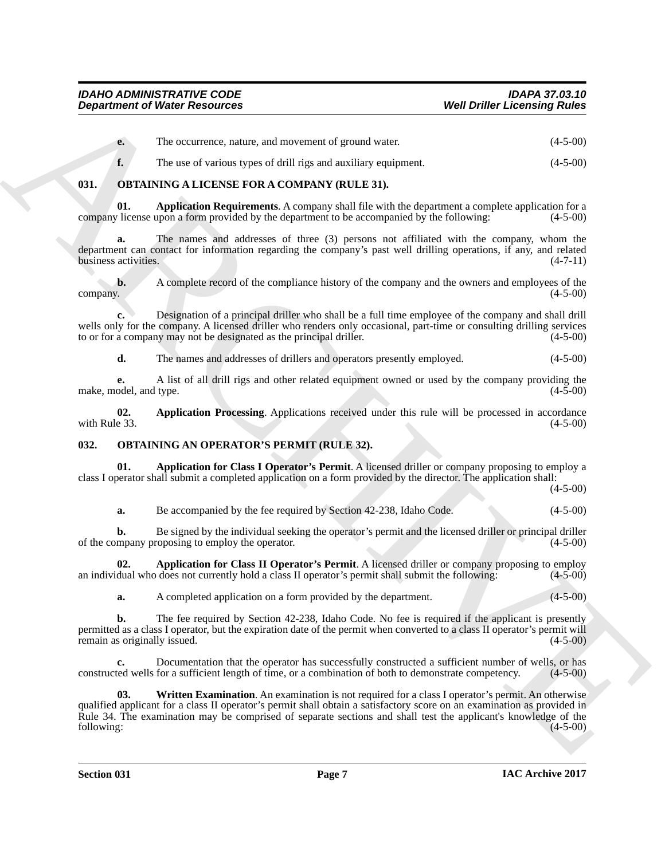|  | The occurrence, nature, and movement of ground water. | $(4-5-00)$ |
|--|-------------------------------------------------------|------------|
|--|-------------------------------------------------------|------------|

<span id="page-6-4"></span><span id="page-6-2"></span>**f.** The use of various types of drill rigs and auxiliary equipment. (4-5-00)

# <span id="page-6-0"></span>**031. OBTAINING A LICENSE FOR A COMPANY (RULE 31).**

**01. Application Requirements**. A company shall file with the department a complete application for a company license upon a form provided by the department to be accompanied by the following: (4-5-00)

**a.** The names and addresses of three (3) persons not affiliated with the company, whom the department can contact for information regarding the company's past well drilling operations, if any, and related<br>business activities. (4-7-11) business activities.

**b.** A complete record of the compliance history of the company and the owners and employees of the (4-5-00) company. (4-5-00)

**c.** Designation of a principal driller who shall be a full time employee of the company and shall drill wells only for the company. A licensed driller who renders only occasional, part-time or consulting drilling services to or for a company may not be designated as the principal driller. (4-5-00)

<span id="page-6-3"></span>**d.** The names and addresses of drillers and operators presently employed.  $(4-5-00)$ 

**e.** A list of all drill rigs and other related equipment owned or used by the company providing the make, model, and type. (4-5-00)

**02.** Application Processing. Applications received under this rule will be processed in accordance with Rule 33. (4-5-00) with Rule 33.  $(4-5-00)$ 

# <span id="page-6-5"></span><span id="page-6-1"></span>**032. OBTAINING AN OPERATOR'S PERMIT (RULE 32).**

**01. Application for Class I Operator's Permit**. A licensed driller or company proposing to employ a class I operator shall submit a completed application on a form provided by the director. The application shall:

(4-5-00)

<span id="page-6-6"></span>**a.** Be accompanied by the fee required by Section 42-238, Idaho Code. (4-5-00)

**b.** Be signed by the individual seeking the operator's permit and the licensed driller or principal driller of the company proposing to employ the operator. (4-5-00)

**02. Application for Class II Operator's Permit**. A licensed driller or company proposing to employ dual who does not currently hold a class II operator's permit shall submit the following: (4-5-00) an individual who does not currently hold a class II operator's permit shall submit the following:

<span id="page-6-7"></span>**a.** A completed application on a form provided by the department. (4-5-00)

**b.** The fee required by Section 42-238, Idaho Code. No fee is required if the applicant is presently permitted as a class I operator, but the expiration date of the permit when converted to a class II operator's permit will remain as originally issued. (4-5-00) (4-5-00)

<span id="page-6-8"></span>**c.** Documentation that the operator has successfully constructed a sufficient number of wells, or has ted wells for a sufficient length of time, or a combination of both to demonstrate competency. (4-5-00) constructed wells for a sufficient length of time, or a combination of both to demonstrate competency.

**Department of Water Research extends the continuum of ground value<br>
The vectories, relative and distribution and distribution and distribution of the system of the system of the system of the system of the system of the 03. Written Examination**. An examination is not required for a class I operator's permit. An otherwise qualified applicant for a class II operator's permit shall obtain a satisfactory score on an examination as provided in Rule 34. The examination may be comprised of separate sections and shall test the applicant's knowledge of the following: (4-5-00) following: (4-5-00)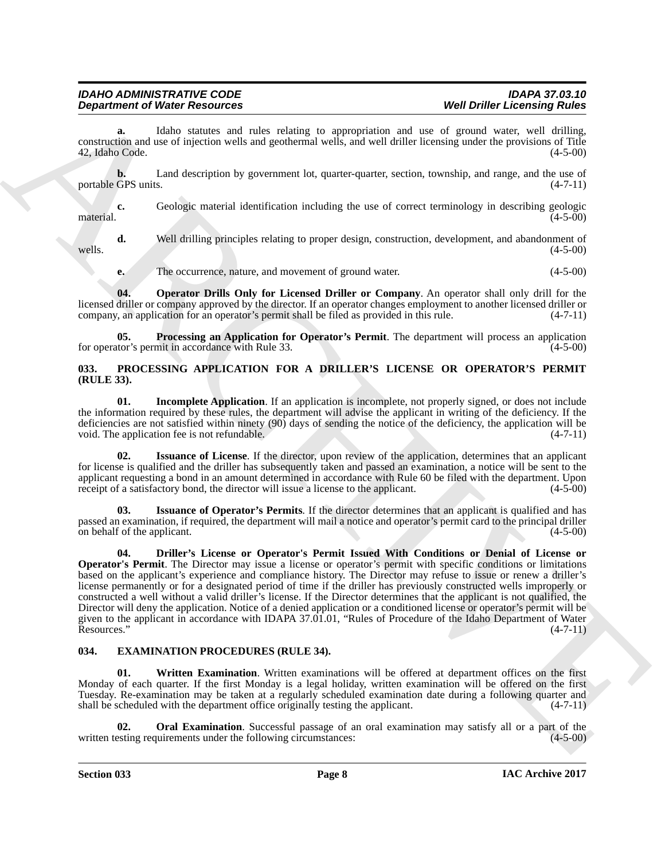**a.** Idaho statutes and rules relating to appropriation and use of ground water, well drilling, construction and use of injection wells and geothermal wells, and well driller licensing under the provisions of Title 42, Idaho Code. (4-5-00)

**b.** Land description by government lot, quarter-quarter, section, township, and range, and the use of portable GPS units. (4-7-11)

**c.** Geologic material identification including the use of correct terminology in describing geologic (4-5-00) material. (4-5-00)

**d.** Well drilling principles relating to proper design, construction, development, and abandonment of (4-5-00) wells.  $(4-5-00)$ **e.** The occurrence, nature, and movement of ground water. (4-5-00)

<span id="page-7-5"></span>**04. Operator Drills Only for Licensed Driller or Company**. An operator shall only drill for the licensed driller or company approved by the director. If an operator changes employment to another licensed driller or company, an application for an operator's permit shall be filed as provided in this rule. (4-7-11)

<span id="page-7-6"></span>**05. Processing an Application for Operator's Permit**. The department will process an application for operator's permit in accordance with Rule 33. (4-5-00)

company, an application for an operator's permit shall be filed as provided in this rule.

# <span id="page-7-7"></span><span id="page-7-0"></span>**033. PROCESSING APPLICATION FOR A DRILLER'S LICENSE OR OPERATOR'S PERMIT (RULE 33).**

<span id="page-7-9"></span>**01. Incomplete Application**. If an application is incomplete, not properly signed, or does not include the information required by these rules, the department will advise the applicant in writing of the deficiency. If the deficiencies are not satisfied within ninety (90) days of sending the notice of the deficiency, the application will be void. The application fee is not refundable. (4-7-11)

<span id="page-7-10"></span>**02. Issuance of License**. If the director, upon review of the application, determines that an applicant for license is qualified and the driller has subsequently taken and passed an examination, a notice will be sent to the applicant requesting a bond in an amount determined in accordance with Rule 60 be filed with the department. Upon receipt of a satisfactory bond, the director will issue a license to the applicant.  $(4-5-00)$ 

<span id="page-7-11"></span><span id="page-7-8"></span>**03. Issuance of Operator's Permits**. If the director determines that an applicant is qualified and has passed an examination, if required, the department will mail a notice and operator's permit card to the principal driller on behalf of the applicant. (4-5-00)

**Department of Weber Research on this advisor to proportion and on the Division Education Comparison of the Comparison of the Comparison of the Comparison of the Comparison of the Comparison of the Comparison of the Compa 04. Driller's License or Operator's Permit Issued With Conditions or Denial of License or Operator's Permit**. The Director may issue a license or operator's permit with specific conditions or limitations based on the applicant's experience and compliance history. The Director may refuse to issue or renew a driller's license permanently or for a designated period of time if the driller has previously constructed wells improperly or constructed a well without a valid driller's license. If the Director determines that the applicant is not qualified, the Director will deny the application. Notice of a denied application or a conditioned license or operator's permit will be given to the applicant in accordance with IDAPA 37.01.01, "Rules of Procedure of the Idaho Department of Water  $Resources.$ " (4-7-11)

# <span id="page-7-2"></span><span id="page-7-1"></span>**034. EXAMINATION PROCEDURES (RULE 34).**

<span id="page-7-4"></span>**01. Written Examination**. Written examinations will be offered at department offices on the first Monday of each quarter. If the first Monday is a legal holiday, written examination will be offered on the first Tuesday. Re-examination may be taken at a regularly scheduled examination date during a following quarter and shall be scheduled with the department office originally testing the applicant. (4-7-11) shall be scheduled with the department office originally testing the applicant.

<span id="page-7-3"></span>**Oral Examination**. Successful passage of an oral examination may satisfy all or a part of the universioner under the following circumstances: (4-5-00) written testing requirements under the following circumstances: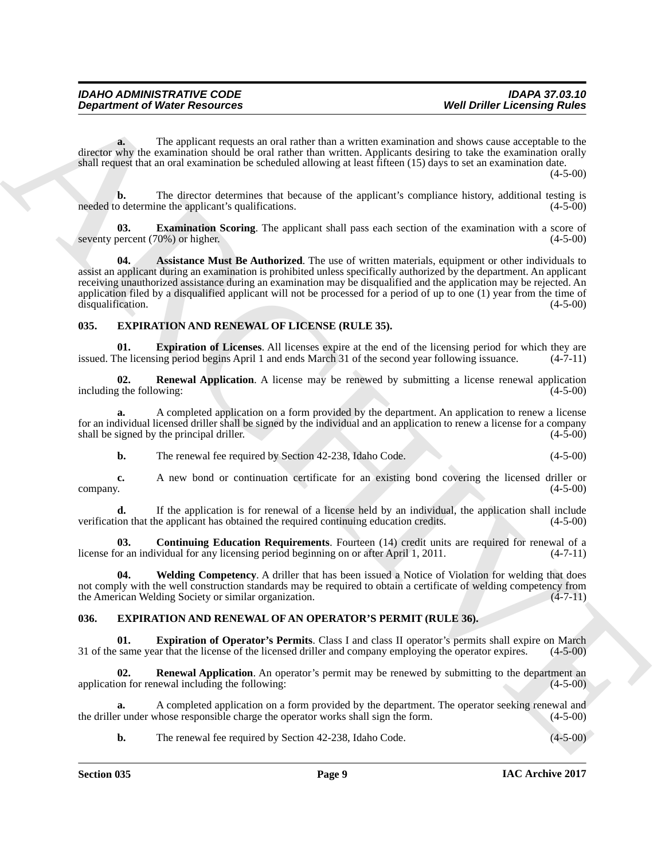**a.** The applicant requests an oral rather than a written examination and shows cause acceptable to the director why the examination should be oral rather than written. Applicants desiring to take the examination orally shall request that an oral examination be scheduled allowing at least fifteen (15) days to set an examination date.  $(4-5-00)$ 

**b.** The director determines that because of the applicant's compliance history, additional testing is o determine the applicant's qualifications. (4-5-00) needed to determine the applicant's qualifications.

<span id="page-8-3"></span><span id="page-8-2"></span>**03. Examination Scoring**. The applicant shall pass each section of the examination with a score of percent (70%) or higher. (4-5-00) seventy percent  $(70%)$  or higher.

**Department of Weiter Research on the algorithm of the system is valished to the Drifter Eccession of Weiter Construction and a material construction of the system of the system of the system of the system of the system o 04. Assistance Must Be Authorized**. The use of written materials, equipment or other individuals to assist an applicant during an examination is prohibited unless specifically authorized by the department. An applicant receiving unauthorized assistance during an examination may be disqualified and the application may be rejected. An application filed by a disqualified applicant will not be processed for a period of up to one (1) year from the time of disqualification.  $(4-5-00)$ disqualification.

# <span id="page-8-7"></span><span id="page-8-0"></span>**035. EXPIRATION AND RENEWAL OF LICENSE (RULE 35).**

<span id="page-8-9"></span>**01. Expiration of Licenses**. All licenses expire at the end of the licensing period for which they are the licensing period begins April 1 and ends March 31 of the second vear following issuance. (4-7-11) issued. The licensing period begins April 1 and ends March 31 of the second year following issuance.

<span id="page-8-10"></span>**02. Renewal Application**. A license may be renewed by submitting a license renewal application including the following: (4-5-00)

**a.** A completed application on a form provided by the department. An application to renew a license for an individual licensed driller shall be signed by the individual and an application to renew a license for a company shall be signed by the principal driller.

**b.** The renewal fee required by Section 42-238, Idaho Code. (4-5-00)

**c.** A new bond or continuation certificate for an existing bond covering the licensed driller or  $\epsilon$  (4-5-00)  $(4-5-00)$ 

**d.** If the application is for renewal of a license held by an individual, the application shall include on that the applicant has obtained the required continuing education credits.  $(4-5-00)$ verification that the applicant has obtained the required continuing education credits.

<span id="page-8-8"></span>**03. Continuing Education Requirements**. Fourteen (14) credit units are required for renewal of a or an individual for any licensing period beginning on or after April 1, 2011. (4-7-11) license for an individual for any licensing period beginning on or after April 1, 2011.

<span id="page-8-11"></span>**04. Welding Competency**. A driller that has been issued a Notice of Violation for welding that does not comply with the well construction standards may be required to obtain a certificate of welding competency from the American Welding Society or similar organization. (4-7-11) the American Welding Society or similar organization.

# <span id="page-8-4"></span><span id="page-8-1"></span>**036. EXPIRATION AND RENEWAL OF AN OPERATOR'S PERMIT (RULE 36).**

<span id="page-8-5"></span>**Expiration of Operator's Permits.** Class I and class II operator's permits shall expire on March 31 of the same year that the license of the licensed driller and company employing the operator expires. (4-5-00)

<span id="page-8-6"></span>**02. Renewal Application**. An operator's permit may be renewed by submitting to the department an application for renewal including the following: (4-5-00)

A completed application on a form provided by the department. The operator seeking renewal and *chose* responsible charge the operator works shall sign the form. (4-5-00) the driller under whose responsible charge the operator works shall sign the form.

**b.** The renewal fee required by Section 42-238, Idaho Code. (4-5-00)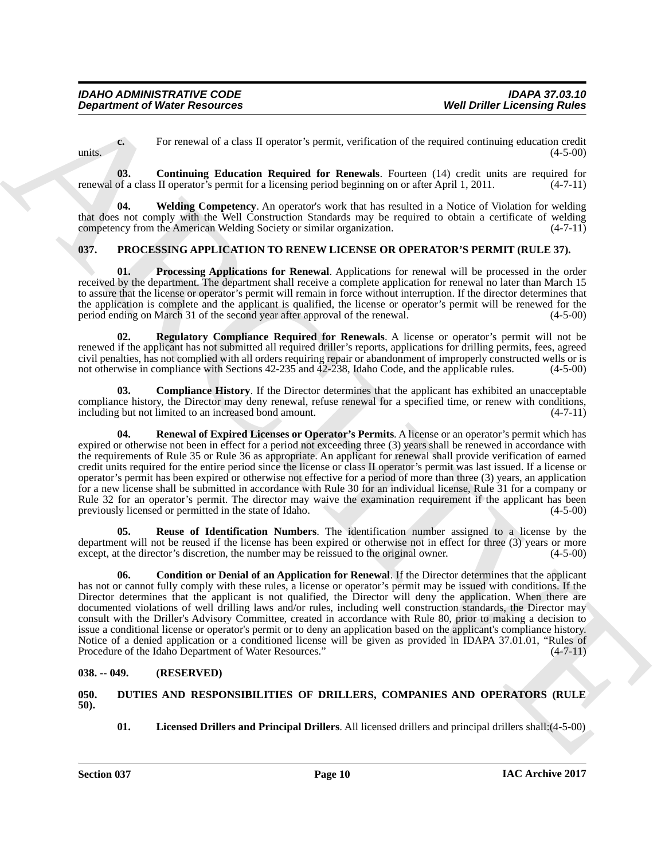**c.** For renewal of a class II operator's permit, verification of the required continuing education credit  $(4-5-00)$ 

<span id="page-9-5"></span>**03. Continuing Education Required for Renewals**. Fourteen (14) credit units are required for renewal of a class II operator's permit for a licensing period beginning on or after April 1, 2011. (4-7-11)

<span id="page-9-6"></span>**04. Welding Competency**. An operator's work that has resulted in a Notice of Violation for welding that does not comply with the Well Construction Standards may be required to obtain a certificate of welding competency from the American Welding Society or similar organization. (4-7-11)

# <span id="page-9-7"></span><span id="page-9-0"></span>**037. PROCESSING APPLICATION TO RENEW LICENSE OR OPERATOR'S PERMIT (RULE 37).**

<span id="page-9-10"></span>**01. Processing Applications for Renewal**. Applications for renewal will be processed in the order received by the department. The department shall receive a complete application for renewal no later than March 15 to assure that the license or operator's permit will remain in force without interruption. If the director determines that the application is complete and the applicant is qualified, the license or operator's permit will be renewed for the period ending on March 31 of the second year after approval of the renewal.  $(4-5-00)$ period ending on March 31 of the second year after approval of the renewal.

<span id="page-9-11"></span>**Regulatory Compliance Required for Renewals**. A license or operator's permit will not be renewed if the applicant has not submitted all required driller's reports, applications for drilling permits, fees, agreed civil penalties, has not complied with all orders requiring repair or abandonment of improperly constructed wells or is not otherwise in compliance with Sections 42-235 and 42-238, Idaho Code, and the applicable rules.

<span id="page-9-12"></span><span id="page-9-8"></span>**03. Compliance History**. If the Director determines that the applicant has exhibited an unacceptable compliance history, the Director may deny renewal, refuse renewal for a specified time, or renew with conditions, including but not limited to an increased bond amount. (4-7-11) including but not limited to an increased bond amount.

**Department of Nieter Research of Algorithm Schwarz (Section 19 Well Drifter Economic Vision Comparison Contains (Section 19 Nieter Schwarz (Section 19 Nieter Press) (Section 19 Nieter Press) (Section 19 Nieter Press) (Se 04. Renewal of Expired Licenses or Operator's Permits**. A license or an operator's permit which has expired or otherwise not been in effect for a period not exceeding three (3) years shall be renewed in accordance with the requirements of Rule 35 or Rule 36 as appropriate. An applicant for renewal shall provide verification of earned credit units required for the entire period since the license or class II operator's permit was last issued. If a license or operator's permit has been expired or otherwise not effective for a period of more than three (3) years, an application for a new license shall be submitted in accordance with Rule 30 for an individual license, Rule 31 for a company or Rule 32 for an operator's permit. The director may waive the examination requirement if the applicant has been previously licensed or permitted in the state of Idaho. (4-5-00)

<span id="page-9-13"></span>**05. Reuse of Identification Numbers**. The identification number assigned to a license by the department will not be reused if the license has been expired or otherwise not in effect for three (3) years or more except, at the director's discretion, the number may be reissued to the original owner. (4-5-00) except, at the director's discretion, the number may be reissued to the original owner.

<span id="page-9-9"></span>**06. Condition or Denial of an Application for Renewal**. If the Director determines that the applicant has not or cannot fully comply with these rules, a license or operator's permit may be issued with conditions. If the Director determines that the applicant is not qualified, the Director will deny the application. When there are documented violations of well drilling laws and/or rules, including well construction standards, the Director may consult with the Driller's Advisory Committee, created in accordance with Rule 80, prior to making a decision to issue a conditional license or operator's permit or to deny an application based on the applicant's compliance history. Notice of a denied application or a conditioned license will be given as provided in IDAPA 37.01.01, "Rules of Procedure of the Idaho Department of Water Resources." (4-7-11)

# <span id="page-9-1"></span>**038. -- 049. (RESERVED)**

<span id="page-9-3"></span><span id="page-9-2"></span>**050. DUTIES AND RESPONSIBILITIES OF DRILLERS, COMPANIES AND OPERATORS (RULE 50).**

<span id="page-9-4"></span>**01. Licensed Drillers and Principal Drillers**. All licensed drillers and principal drillers shall:(4-5-00)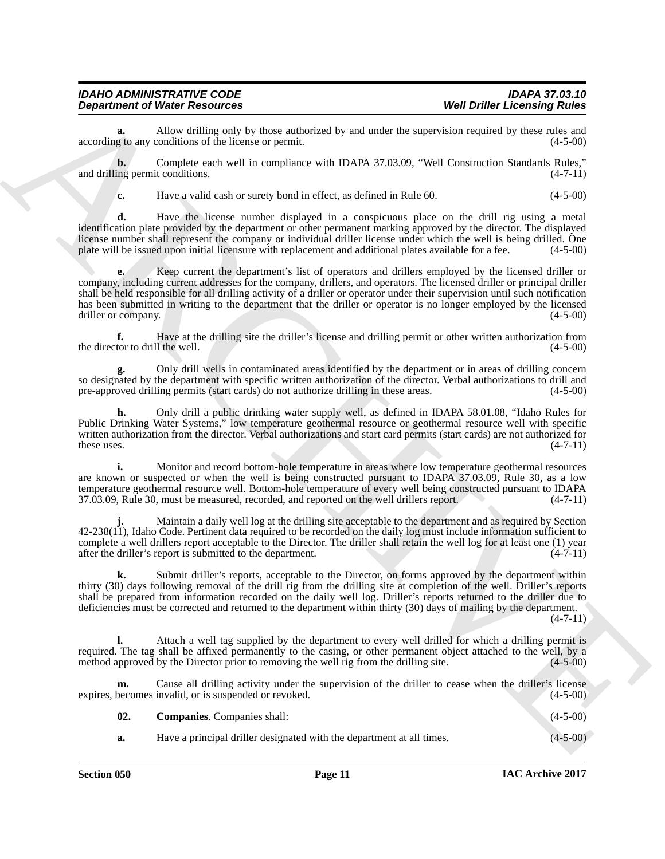**a.** Allow drilling only by those authorized by and under the supervision required by these rules and g to any conditions of the license or permit. (4-5-00) according to any conditions of the license or permit.

**b.** Complete each well in compliance with IDAPA 37.03.09, "Well Construction Standards Rules," and drilling permit conditions. (4-7-11)

**c.** Have a valid cash or surety bond in effect, as defined in Rule 60. (4-5-00)

**d.** Have the license number displayed in a conspicuous place on the drill rig using a metal identification plate provided by the department or other permanent marking approved by the director. The displayed license number shall represent the company or individual driller license under which the well is being drilled. One plate will be issued upon initial licensure with replacement and additional plates available for a fee. (4 plate will be issued upon initial licensure with replacement and additional plates available for a fee.

**Department of Niest Research et al.** (as a maintain the specific and the specific and the specific and the specific and the specific and the specific and the specific and the specific and the specific and the specific an **e.** Keep current the department's list of operators and drillers employed by the licensed driller or company, including current addresses for the company, drillers, and operators. The licensed driller or principal driller shall be held responsible for all drilling activity of a driller or operator under their supervision until such notification has been submitted in writing to the department that the driller or operator is no longer employed by the licensed driller or company. driller or company.

**f.** Have at the drilling site the driller's license and drilling permit or other written authorization from tor to drill the well.  $(4-5-00)$ the director to drill the well.

**g.** Only drill wells in contaminated areas identified by the department or in areas of drilling concern so designated by the department with specific written authorization of the director. Verbal authorizations to drill and pre-approved drilling permits (start cards) do not authorize drilling in these areas. (4-5-00)

**h.** Only drill a public drinking water supply well, as defined in IDAPA 58.01.08, "Idaho Rules for Public Drinking Water Systems," low temperature geothermal resource or geothermal resource well with specific written authorization from the director. Verbal authorizations and start card permits (start cards) are not authorized for these uses. (4-7-11) these uses.  $(4-7-11)$ 

**i.** Monitor and record bottom-hole temperature in areas where low temperature geothermal resources are known or suspected or when the well is being constructed pursuant to IDAPA 37.03.09, Rule 30, as a low temperature geothermal resource well. Bottom-hole temperature of every well being constructed pursuant to IDAPA<br>37.03.09, Rule 30, must be measured, recorded, and reported on the well drillers report. (4-7-11) 37.03.09, Rule 30, must be measured, recorded, and reported on the well drillers report.

**j.** Maintain a daily well log at the drilling site acceptable to the department and as required by Section 42-238(11), Idaho Code. Pertinent data required to be recorded on the daily log must include information sufficient to complete a well drillers report acceptable to the Director. The driller shall retain the well log for at least one (1) year after the driller's report is submitted to the department.  $(4-7-11)$ after the driller's report is submitted to the department.

**k.** Submit driller's reports, acceptable to the Director, on forms approved by the department within thirty (30) days following removal of the drill rig from the drilling site at completion of the well. Driller's reports shall be prepared from information recorded on the daily well log. Driller's reports returned to the driller due to deficiencies must be corrected and returned to the department within thirty (30) days of mailing by the department.

 $(4 - 7 - 11)$ 

**l.** Attach a well tag supplied by the department to every well drilled for which a drilling permit is required. The tag shall be affixed permanently to the casing, or other permanent object attached to the well, by a method approved by the Director prior to removing the well rig from the drilling site. (4-5-00) method approved by the Director prior to removing the well rig from the drilling site.

Cause all drilling activity under the supervision of the driller to cease when the driller's license invalid, or is suspended or revoked. (4-5-00) expires, becomes invalid, or is suspended or revoked.

<span id="page-10-0"></span>

| 02. | <b>Companies.</b> Companies shall:                                    | $(4-5-00)$ |
|-----|-----------------------------------------------------------------------|------------|
| а.  | Have a principal driller designated with the department at all times. | $(4-5-00)$ |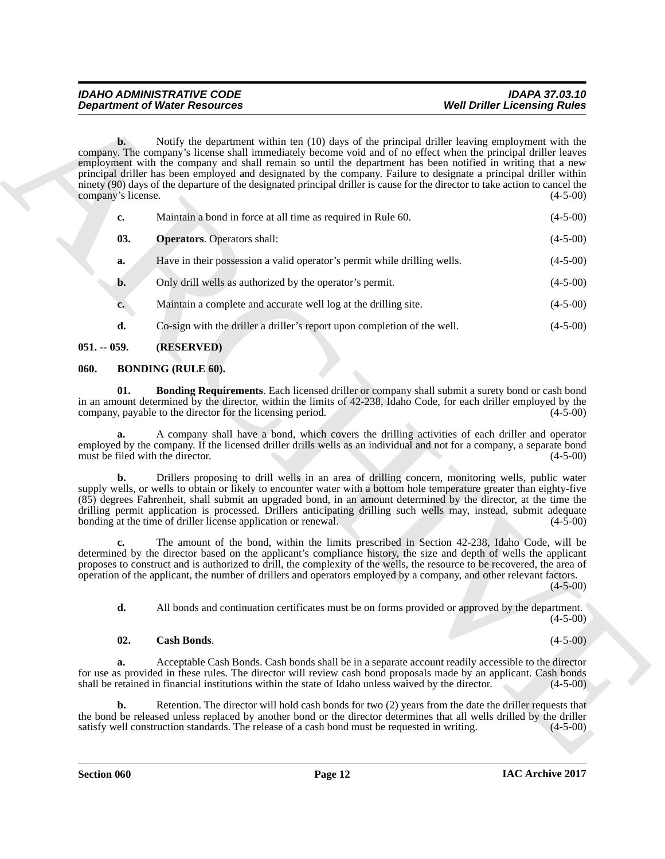| <b>Department of Water Resources</b>                                                                                                                                                                                                                                                                                                                                                                                                                                                                                          | <b>Well Driller Licensing Rules</b>                                                                                  |
|-------------------------------------------------------------------------------------------------------------------------------------------------------------------------------------------------------------------------------------------------------------------------------------------------------------------------------------------------------------------------------------------------------------------------------------------------------------------------------------------------------------------------------|----------------------------------------------------------------------------------------------------------------------|
| $\mathbf{b}$ .<br>company. The company's license shall immediately become void and of no effect when the principal driller leaves<br>employment with the company and shall remain so until the department has been notified in writing that a new<br>principal driller has been employed and designated by the company. Failure to designate a principal driller within<br>ninety (90) days of the departure of the designated principal driller is cause for the director to take action to cancel the<br>company's license. | Notify the department within ten (10) days of the principal driller leaving employment with the<br>$(4-5-00)$        |
| Maintain a bond in force at all time as required in Rule 60.<br>c.                                                                                                                                                                                                                                                                                                                                                                                                                                                            | $(4-5-00)$                                                                                                           |
| 03.<br><b>Operators.</b> Operators shall:                                                                                                                                                                                                                                                                                                                                                                                                                                                                                     | $(4-5-00)$                                                                                                           |
| Have in their possession a valid operator's permit while drilling wells.<br>a.                                                                                                                                                                                                                                                                                                                                                                                                                                                | $(4-5-00)$                                                                                                           |
| Only drill wells as authorized by the operator's permit.<br>$b$ .                                                                                                                                                                                                                                                                                                                                                                                                                                                             | $(4-5-00)$                                                                                                           |
| Maintain a complete and accurate well log at the drilling site.<br>$c_{\bullet}$                                                                                                                                                                                                                                                                                                                                                                                                                                              | $(4-5-00)$                                                                                                           |
| d.<br>Co-sign with the driller a driller's report upon completion of the well.                                                                                                                                                                                                                                                                                                                                                                                                                                                | $(4-5-00)$                                                                                                           |
| (RESERVED)<br>$051. - 059.$                                                                                                                                                                                                                                                                                                                                                                                                                                                                                                   |                                                                                                                      |
| <b>BONDING (RULE 60).</b><br>060.                                                                                                                                                                                                                                                                                                                                                                                                                                                                                             |                                                                                                                      |
| 01.<br>in an amount determined by the director, within the limits of 42-238, Idaho Code, for each driller employed by the<br>company, payable to the director for the licensing period.                                                                                                                                                                                                                                                                                                                                       | Bonding Requirements. Each licensed driller or company shall submit a surety bond or cash bond<br>$(4-5-00)$         |
| employed by the company. If the licensed driller drills wells as an individual and not for a company, a separate bond<br>must be filed with the director.                                                                                                                                                                                                                                                                                                                                                                     | A company shall have a bond, which covers the drilling activities of each driller and operator<br>$(4-5-00)$         |
| b.<br>supply wells, or wells to obtain or likely to encounter water with a bottom hole temperature greater than eighty-five<br>(85) degrees Fahrenheit, shall submit an upgraded bond, in an amount determined by the director, at the time the<br>drilling permit application is processed. Drillers anticipating drilling such wells may, instead, submit adequate<br>bonding at the time of driller license application or renewal.                                                                                        | Drillers proposing to drill wells in an area of drilling concern, monitoring wells, public water<br>$(4-5-00)$       |
| c.<br>determined by the director based on the applicant's compliance history, the size and depth of wells the applicant<br>proposes to construct and is authorized to drill, the complexity of the wells, the resource to be recovered, the area of<br>operation of the applicant, the number of drillers and operators employed by a company, and other relevant factors.                                                                                                                                                    | The amount of the bond, within the limits prescribed in Section 42-238, Idaho Code, will be<br>$(4 - 5 - 00)$        |
|                                                                                                                                                                                                                                                                                                                                                                                                                                                                                                                               | All bonds and continuation certificates must be on forms provided or approved by the department.                     |
| d.                                                                                                                                                                                                                                                                                                                                                                                                                                                                                                                            | $(4-5-00)$                                                                                                           |
| <b>Cash Bonds.</b><br>02.                                                                                                                                                                                                                                                                                                                                                                                                                                                                                                     | $(4-5-00)$                                                                                                           |
| a.<br>for use as provided in these rules. The director will review cash bond proposals made by an applicant. Cash bonds<br>shall be retained in financial institutions within the state of Idaho unless waived by the director.                                                                                                                                                                                                                                                                                               | Acceptable Cash Bonds. Cash bonds shall be in a separate account readily accessible to the director<br>$(4-5-00)$    |
| b.<br>the bond be released unless replaced by another bond or the director determines that all wells drilled by the driller<br>satisfy well construction standards. The release of a cash bond must be requested in writing.                                                                                                                                                                                                                                                                                                  | Retention. The director will hold cash bonds for two (2) years from the date the driller requests that<br>$(4-5-00)$ |

# <span id="page-11-5"></span><span id="page-11-0"></span>**051. -- 059. (RESERVED)**

# <span id="page-11-3"></span><span id="page-11-2"></span><span id="page-11-1"></span>**060. BONDING (RULE 60).**

# <span id="page-11-4"></span>**02. Cash Bonds**. (4-5-00)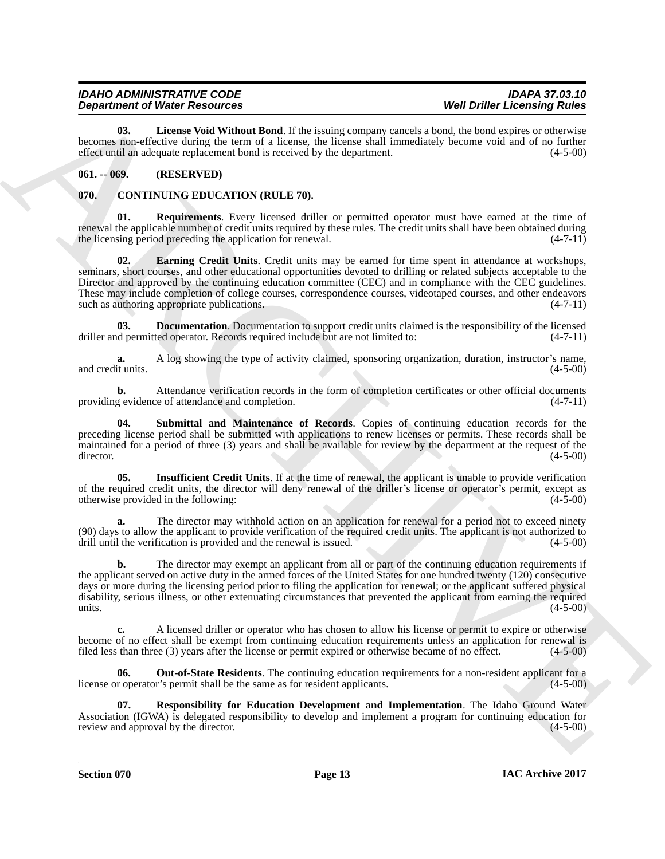| <b>IDAHO ADMINISTRATIVE CODE</b>     | <b>IDAPA 37.03.10</b>               |
|--------------------------------------|-------------------------------------|
| <b>Department of Water Resources</b> | <b>Well Driller Licensing Rules</b> |

<span id="page-12-10"></span>**03. License Void Without Bond**. If the issuing company cancels a bond, the bond expires or otherwise becomes non-effective during the term of a license, the license shall immediately become void and of no further effect until an adequate replacement bond is received by the department. (4-5-00)

# <span id="page-12-0"></span>**061. -- 069. (RESERVED)**

# <span id="page-12-2"></span><span id="page-12-1"></span>**070. CONTINUING EDUCATION (RULE 70).**

<span id="page-12-7"></span><span id="page-12-4"></span>**01. Requirements**. Every licensed driller or permitted operator must have earned at the time of renewal the applicable number of credit units required by these rules. The credit units shall have been obtained during the licensing period preceding the application for renewal.  $(4-7-11)$ 

**Department of Nicolas Constraints (Video Internal Constraints) West Definition** Constraints (Video Internal Construction 1997) and the effect of the specific properties (Video Internal Constraints) and the effect of th **02. Earning Credit Units**. Credit units may be earned for time spent in attendance at workshops, seminars, short courses, and other educational opportunities devoted to drilling or related subjects acceptable to the Director and approved by the continuing education committee (CEC) and in compliance with the CEC guidelines. These may include completion of college courses, correspondence courses, videotaped courses, and other endeavors such as authoring appropriate publications. (4-7-11) such as authoring appropriate publications.

<span id="page-12-3"></span>**Documentation**. Documentation to support credit units claimed is the responsibility of the licensed ted operator. Records required include but are not limited to:  $(4-7-11)$ driller and permitted operator. Records required include but are not limited to:

**a.** A log showing the type of activity claimed, sponsoring organization, duration, instructor's name, it units. (4-5-00) and credit units.

**b.** Attendance verification records in the form of completion certificates or other official documents g evidence of attendance and completion. (4-7-11) providing evidence of attendance and completion.

<span id="page-12-9"></span>**Submittal and Maintenance of Records**. Copies of continuing education records for the preceding license period shall be submitted with applications to renew licenses or permits. These records shall be maintained for a period of three (3) years and shall be available for review by the department at the request of the director. (4-5-00) director. (4-5-00)

<span id="page-12-5"></span>**Insufficient Credit Units**. If at the time of renewal, the applicant is unable to provide verification of the required credit units, the director will deny renewal of the driller's license or operator's permit, except as otherwise provided in the following: (4-5-00) otherwise provided in the following:

**a.** The director may withhold action on an application for renewal for a period not to exceed ninety (90) days to allow the applicant to provide verification of the required credit units. The applicant is not authorized to drill until the verification is provided and the renewal is issued. (4-5-00)

**b.** The director may exempt an applicant from all or part of the continuing education requirements if the applicant served on active duty in the armed forces of the United States for one hundred twenty (120) consecutive days or more during the licensing period prior to filing the application for renewal; or the applicant suffered physical disability, serious illness, or other extenuating circumstances that prevented the applicant from earning the required units. (4-5-00)  $(4-5-00)$ 

**c.** A licensed driller or operator who has chosen to allow his license or permit to expire or otherwise become of no effect shall be exempt from continuing education requirements unless an application for renewal is filed less than three (3) years after the license or permit expired or otherwise became of no effect. (4-5-00)

<span id="page-12-6"></span>**06. Out-of-State Residents**. The continuing education requirements for a non-resident applicant for a license or operator's permit shall be the same as for resident applicants. (4-5-00)

<span id="page-12-8"></span>**07. Responsibility for Education Development and Implementation**. The Idaho Ground Water Association (IGWA) is delegated responsibility to develop and implement a program for continuing education for review and approval by the director. (4-5-00) review and approval by the director.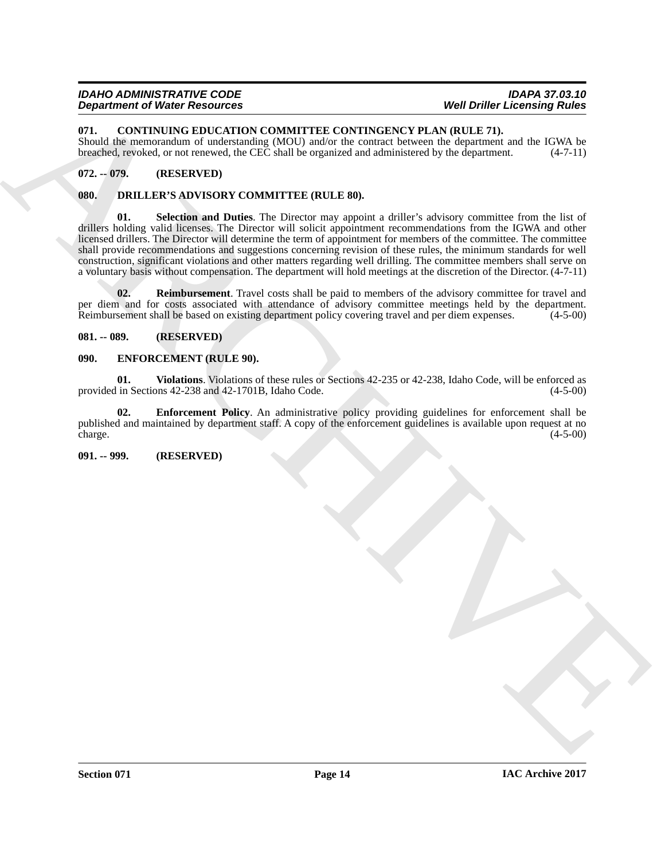<span id="page-13-6"></span><span id="page-13-0"></span>**071. CONTINUING EDUCATION COMMITTEE CONTINGENCY PLAN (RULE 71).**

Should the memorandum of understanding (MOU) and/or the contract between the department and the IGWA be breached, revoked, or not renewed, the CEC shall be organized and administered by the department. (4-7-11)

# <span id="page-13-1"></span>**072. -- 079. (RESERVED)**

# <span id="page-13-9"></span><span id="page-13-7"></span><span id="page-13-2"></span>**080. DRILLER'S ADVISORY COMMITTEE (RULE 80).**

**Dependent of West Residues COMMITIER CONTINUES\VERA WHI DEPARTMENT (2001)**<br>
RELATION CONTINUES ENTERTAINMENT PLAN CONTINUES NOW THAT WE CONTINUES THE SECOND OF THE SECOND OF THE SECOND CONDITION (2001) and the second in **01. Selection and Duties**. The Director may appoint a driller's advisory committee from the list of drillers holding valid licenses. The Director will solicit appointment recommendations from the IGWA and other licensed drillers. The Director will determine the term of appointment for members of the committee. The committee shall provide recommendations and suggestions concerning revision of these rules, the minimum standards for well construction, significant violations and other matters regarding well drilling. The committee members shall serve on a voluntary basis without compensation. The department will hold meetings at the discretion of the Director. (4-7-11)

<span id="page-13-8"></span>**02. Reimbursement**. Travel costs shall be paid to members of the advisory committee for travel and per diem and for costs associated with attendance of advisory committee meetings held by the department.<br>Reimbursement shall be based on existing department policy covering travel and per diem expenses. (4-5-00) Reimbursement shall be based on existing department policy covering travel and per diem expenses.

# <span id="page-13-3"></span>**081. -- 089. (RESERVED)**

# <span id="page-13-10"></span><span id="page-13-4"></span>**090. ENFORCEMENT (RULE 90).**

<span id="page-13-12"></span>**01. Violations**. Violations of these rules or Sections 42-235 or 42-238, Idaho Code, will be enforced as provided in Sections 42-238 and 42-1701B, Idaho Code. (4-5-00)

<span id="page-13-11"></span>**02. Enforcement Policy**. An administrative policy providing guidelines for enforcement shall be published and maintained by department staff. A copy of the enforcement guidelines is available upon request at no charge. (4-5-00)

# <span id="page-13-5"></span>**091. -- 999. (RESERVED)**